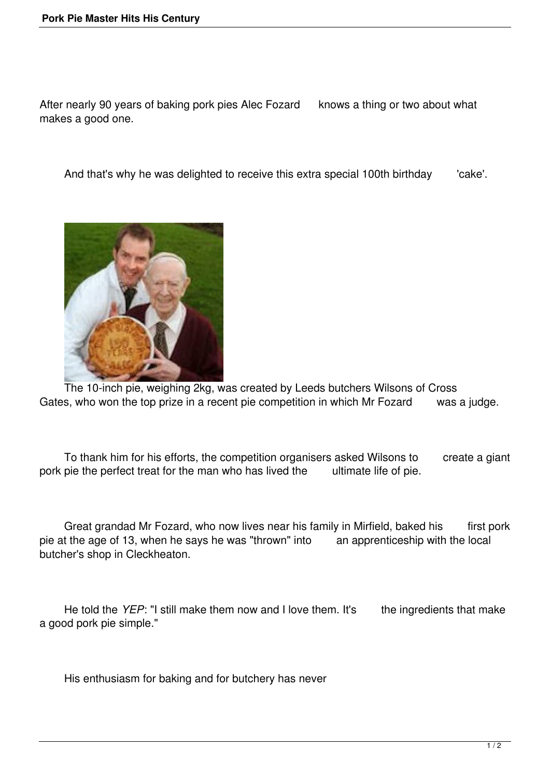After nearly 90 years of baking pork pies Alec Fozard knows a thing or two about what makes a good one.

And that's why he was delighted to receive this extra special 100th birthday cake'.



 The 10-inch pie, weighing 2kg, was created by Leeds butchers Wilsons of Cross Gates, who won the top prize in a recent pie competition in which Mr Fozard was a judge.

To thank him for his efforts, the competition organisers asked Wilsons to create a giant pie the perfect treat for the man who has lived the ultimate life of pie. pork pie the perfect treat for the man who has lived the

Great grandad Mr Fozard, who now lives near his family in Mirfield, baked his first pork pie at the age of 13, when he says he was "thrown" into an apprenticeship with the local butcher's shop in Cleckheaton.

He told the *YEP*: "I still make them now and I love them. It's the ingredients that make a good pork pie simple."

His enthusiasm for baking and for butchery has never